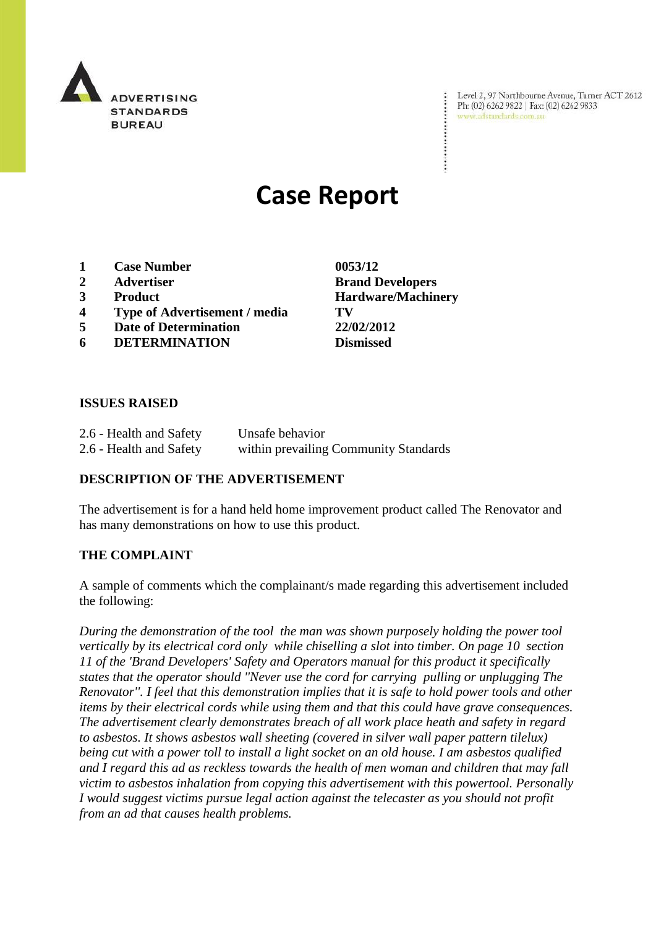

Level 2, 97 Northbourne Avenue, Turner ACT 2612 Ph: (02) 6262 9822 | Fax: (02) 6262 9833 www.adstandards.com.au

# **Case Report**

- **1 Case Number 0053/12**
- 
- 
- **4 Type of Advertisement / media TV**
- **5 Date of Determination 22/02/2012**
- **6 DETERMINATION Dismissed**

**2 Advertiser Brand Developers 3 Product Hardware/Machinery**

 $\ddot{\cdot}$ 

## **ISSUES RAISED**

| 2.6 - Health and Safety | Unsafe behavior                       |
|-------------------------|---------------------------------------|
| 2.6 - Health and Safety | within prevailing Community Standards |

## **DESCRIPTION OF THE ADVERTISEMENT**

The advertisement is for a hand held home improvement product called The Renovator and has many demonstrations on how to use this product.

## **THE COMPLAINT**

A sample of comments which the complainant/s made regarding this advertisement included the following:

*During the demonstration of the tool the man was shown purposely holding the power tool vertically by its electrical cord only while chiselling a slot into timber. On page 10 section 11 of the 'Brand Developers' Safety and Operators manual for this product it specifically states that the operator should ''Never use the cord for carrying pulling or unplugging The Renovator''. I feel that this demonstration implies that it is safe to hold power tools and other items by their electrical cords while using them and that this could have grave consequences. The advertisement clearly demonstrates breach of all work place heath and safety in regard to asbestos. It shows asbestos wall sheeting (covered in silver wall paper pattern tilelux) being cut with a power toll to install a light socket on an old house. I am asbestos qualified and I regard this ad as reckless towards the health of men woman and children that may fall victim to asbestos inhalation from copying this advertisement with this powertool. Personally I would suggest victims pursue legal action against the telecaster as you should not profit from an ad that causes health problems.*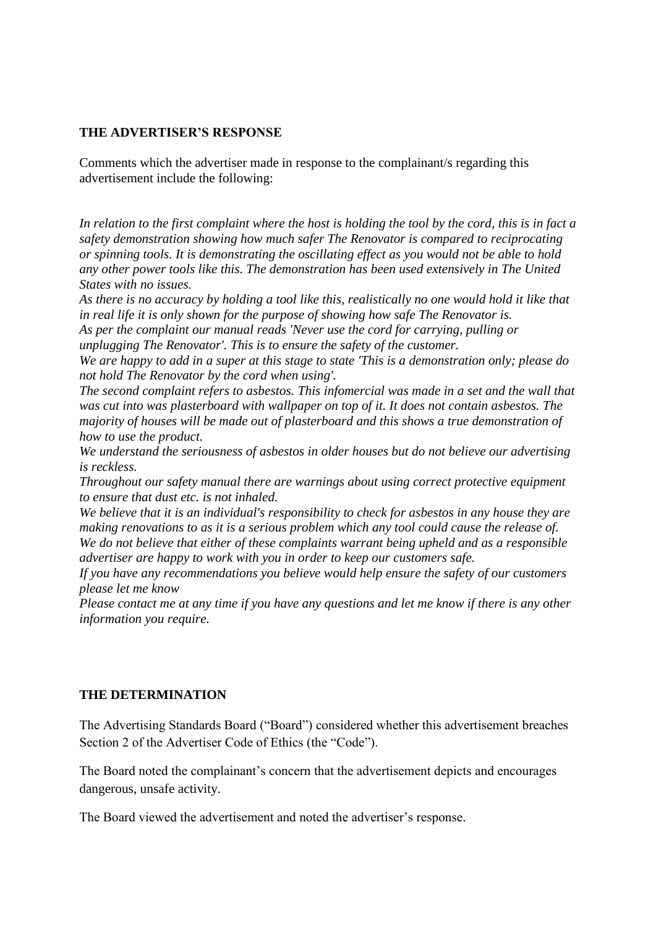## **THE ADVERTISER'S RESPONSE**

Comments which the advertiser made in response to the complainant/s regarding this advertisement include the following:

*In relation to the first complaint where the host is holding the tool by the cord, this is in fact a safety demonstration showing how much safer The Renovator is compared to reciprocating or spinning tools. It is demonstrating the oscillating effect as you would not be able to hold any other power tools like this. The demonstration has been used extensively in The United States with no issues.*

*As there is no accuracy by holding a tool like this, realistically no one would hold it like that in real life it is only shown for the purpose of showing how safe The Renovator is.*

*As per the complaint our manual reads 'Never use the cord for carrying, pulling or unplugging The Renovator'. This is to ensure the safety of the customer.*

*We are happy to add in a super at this stage to state 'This is a demonstration only; please do not hold The Renovator by the cord when using'.*

*The second complaint refers to asbestos. This infomercial was made in a set and the wall that was cut into was plasterboard with wallpaper on top of it. It does not contain asbestos. The majority of houses will be made out of plasterboard and this shows a true demonstration of how to use the product.*

*We understand the seriousness of asbestos in older houses but do not believe our advertising is reckless.*

*Throughout our safety manual there are warnings about using correct protective equipment to ensure that dust etc. is not inhaled.*

*We believe that it is an individual's responsibility to check for asbestos in any house they are making renovations to as it is a serious problem which any tool could cause the release of. We do not believe that either of these complaints warrant being upheld and as a responsible advertiser are happy to work with you in order to keep our customers safe.*

*If you have any recommendations you believe would help ensure the safety of our customers please let me know*

*Please contact me at any time if you have any questions and let me know if there is any other information you require.*

## **THE DETERMINATION**

The Advertising Standards Board ("Board") considered whether this advertisement breaches Section 2 of the Advertiser Code of Ethics (the "Code").

The Board noted the complainant's concern that the advertisement depicts and encourages dangerous, unsafe activity.

The Board viewed the advertisement and noted the advertiser's response.